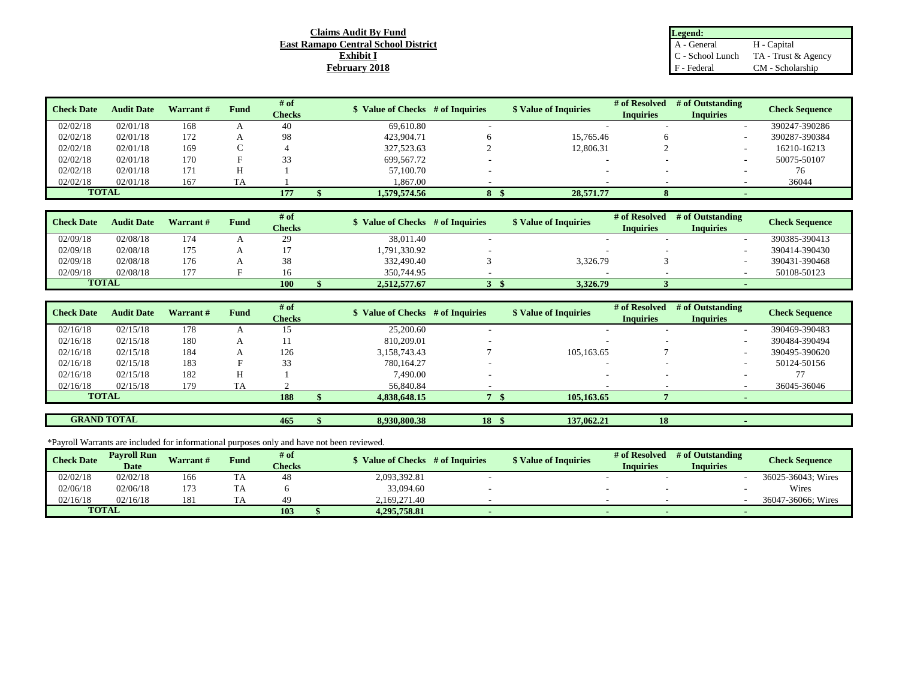## **Claims Audit By Fund East Ramapo Central School District Exhibit I February 2018**

| Legend:          |                     |
|------------------|---------------------|
| A - General      | H - Capital         |
| C - School Lunch | TA - Trust & Agency |
| F - Federal      | CM - Scholarship    |

| <b>Check Date</b> | <b>Audit Date</b> | <b>Warrant</b> # | Fund | # of<br>Checks | <b>S</b> Value of Checks # of Inquiries | <b>\$</b> Value of Inquiries | # of Resolved<br><b>Inquiries</b> | # of Outstanding<br><b>Inquiries</b> | <b>Check Sequence</b> |
|-------------------|-------------------|------------------|------|----------------|-----------------------------------------|------------------------------|-----------------------------------|--------------------------------------|-----------------------|
| 02/02/18          | 02/01/18          | 168              |      | 40             | 69.610.80                               |                              |                                   |                                      | 390247-390286         |
| 02/02/18          | 02/01/18          | 172              |      | 98             | 423,904.71                              | 15.765.46                    |                                   |                                      | 390287-390384         |
| 02/02/18          | 02/01/18          | 169              |      |                | 327,523.63                              | 12,806.31                    |                                   |                                      | 16210-16213           |
| 02/02/18          | 02/01/18          | 170              |      | 33             | 699,567.72                              |                              |                                   | $\overline{\phantom{a}}$             | 50075-50107           |
| 02/02/18          | 02/01/18          | 171              |      |                | 57,100.70                               |                              |                                   |                                      | 76                    |
| 02/02/18          | 02/01/18          | 167              | TA   |                | .867.00                                 |                              |                                   |                                      | 36044                 |
|                   | <b>TOTAL</b>      |                  |      | 177            | 1.579.574.56                            | 28,571.77                    |                                   |                                      |                       |

| <b>Check Date</b> | <b>Audit Date</b> | Warrant# | Fund | # of          | S Value of Checks # of Inquiries | <b>\$</b> Value of Inquiries | # of Resolved    | # of Outstanding | <b>Check Sequence</b> |  |
|-------------------|-------------------|----------|------|---------------|----------------------------------|------------------------------|------------------|------------------|-----------------------|--|
|                   |                   |          |      | <b>Checks</b> |                                  |                              | <b>Inquiries</b> | <b>Inquiries</b> |                       |  |
| 02/09/18          | 02/08/18          | 174      |      | 29            | 38,011.40                        |                              |                  |                  | 390385-390413         |  |
| 02/09/18          | 02/08/18          | 175      |      |               | 1,791,330.92                     |                              |                  |                  | 390414-390430         |  |
| 02/09/18          | 02/08/18          | 176      |      | 38            | 332,490.40                       | 3.326.79                     |                  |                  | 390431-390468         |  |
| 02/09/18          | 02/08/18          | 177      |      | i 6           | 350,744.95                       |                              |                  |                  | 50108-50123           |  |
| <b>TOTAL</b>      |                   |          |      | 100           | 2.512.577.67                     | 3.326.79                     |                  |                  |                       |  |

| <b>Check Date</b> | <b>Audit Date</b> | Warrant # | Fund | # of<br><b>Checks</b> | \$ Value of Checks # of Inquiries | <b>\$</b> Value of Inquiries | # of Resolved<br><b>Inquiries</b> | # of Outstanding<br><b>Inquiries</b> | <b>Check Sequence</b> |
|-------------------|-------------------|-----------|------|-----------------------|-----------------------------------|------------------------------|-----------------------------------|--------------------------------------|-----------------------|
|                   |                   |           |      |                       |                                   |                              |                                   |                                      |                       |
| 02/16/18          | 02/15/18          | 178       |      | 15                    | 25,200.60                         |                              |                                   |                                      | 390469-390483         |
| 02/16/18          | 02/15/18          | 180       |      |                       | 810,209.01                        |                              |                                   |                                      | 390484-390494         |
| 02/16/18          | 02/15/18          | 184       |      | 126                   | 3,158,743.43                      | 105.163.65                   |                                   |                                      | 390495-390620         |
| 02/16/18          | 02/15/18          | 183       |      | 33                    | 780.164.27                        |                              |                                   | -                                    | 50124-50156           |
| 02/16/18          | 02/15/18          | 182       |      |                       | 7,490.00                          |                              |                                   |                                      |                       |
| 02/16/18          | 02/15/18          | 179       | TA   |                       | 56,840.84                         |                              |                                   |                                      | 36045-36046           |
| <b>TOTAL</b>      |                   |           |      | 188                   | 4,838,648.15                      | 105,163,65                   |                                   |                                      |                       |

**GRAND TOTAL**

**465** \$ 8,930,800.38 **18** \$ 137,062.21 **18 18** 

\*Payroll Warrants are included for informational purposes only and have not been reviewed.

| <b>Check Date</b> | <b>Pavroll Run</b> | Warrant# | <b>Fund</b> | # of          | Value of Checks # of Inquiries | <b>\$ Value of Inquiries</b> | # of Resolved    | # of Outstanding | <b>Check Sequence</b> |
|-------------------|--------------------|----------|-------------|---------------|--------------------------------|------------------------------|------------------|------------------|-----------------------|
|                   | <b>Date</b>        |          |             | <b>Checks</b> |                                |                              | <b>Inquiries</b> | <b>Inquiries</b> |                       |
| 02/02/18          | 02/02/18           | 166      | ΙA          | 48            | 2,093,392.81                   |                              |                  |                  | 36025-36043; Wires    |
| 02/06/18          | 02/06/18           | ! /3     | ΙA          |               | 33,094.60                      |                              |                  |                  | Wires                 |
| 02/16/18          | 02/16/18           | 181      |             | 49            | 2.169.271.40                   |                              |                  |                  | 36047-36066: Wires    |
|                   | <b>TOTAL</b>       |          |             | 103           | 4.295.758.81                   |                              |                  |                  |                       |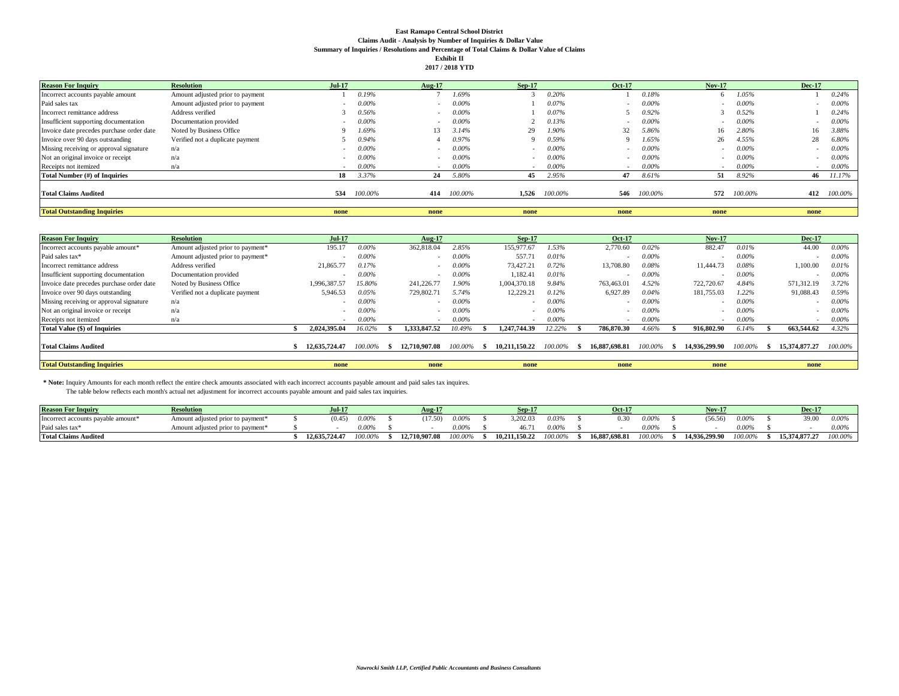## **East Ramapo Central School District Claims Audit - Analysis by Number of Inquiries & Dollar Value Summary of Inquiries / Resolutions and Percentage of Total Claims & Dollar Value of Claims Exhibit II 2017 / 2018 YTD**

| <b>Reason For Inquiry</b>                 | <b>Resolution</b>                | <b>Jul-17</b> |          | Aug-17 |          | $Sep-17$ |          | <b>Oct-17</b>            |          | <b>Nov-17</b> |          | <b>Dec-17</b> |          |
|-------------------------------------------|----------------------------------|---------------|----------|--------|----------|----------|----------|--------------------------|----------|---------------|----------|---------------|----------|
| Incorrect accounts payable amount         | Amount adjusted prior to payment |               | 0.19%    |        | 1.69%    |          | 0.20%    |                          | 0.18%    |               | 1.05%    |               | 0.24%    |
| Paid sales tax                            | Amount adjusted prior to payment |               | 0.00%    |        | $0.00\%$ |          | 0.07%    | $\overline{\phantom{a}}$ | 0.00%    |               | $0.00\%$ |               | $0.00\%$ |
| Incorrect remittance address              | Address verified                 |               | 0.56%    | -      | $0.00\%$ |          | 0.07%    |                          | 0.92%    |               | 0.52%    |               | 0.24%    |
| Insufficient supporting documentation     | Documentation provided           |               | 0.00%    |        | $0.00\%$ |          | 0.13%    |                          | 0.00%    |               | $0.00\%$ |               | $0.00\%$ |
| Invoice date precedes purchase order date | Noted by Business Office         |               | 1.69%    | 13     | 3.14%    | 29       | 1.90%    | 32                       | 5.86%    | 16            | 2.80%    | 16            | 3.88%    |
| Invoice over 90 days outstanding          | Verified not a duplicate payment |               | 0.94%    |        | 0.97%    | $\Omega$ | 0.59%    | O.                       | 1.65%    | 26            | 4.55%    | 28            | 6.80%    |
| Missing receiving or approval signature   | n/a                              |               | $0.00\%$ |        | $0.00\%$ |          | $0.00\%$ |                          | $0.00\%$ |               | $0.00\%$ |               | $0.00\%$ |
| Not an original invoice or receipt        | n/a                              |               | 0.00%    |        | $0.00\%$ |          | $0.00\%$ |                          | $0.00\%$ |               | $0.00\%$ |               | $0.00\%$ |
| Receipts not itemized                     | n/a                              |               | $0.00\%$ |        | $0.00\%$ |          | $0.00\%$ |                          | $0.00\%$ |               | $0.00\%$ |               | $0.00\%$ |
| Total Number (#) of Inquiries             |                                  | 18            | 3.37%    | 24     | 5.80%    | 45       | 2.95%    | 47                       | 8.61%    | 51            | 8.92%    | 46            | 11.17%   |
| <b>Total Claims Audited</b>               |                                  | 534           | 100.00%  | 414    | 100.00%  | 1.526    | 100.00%  | 546                      | 100.00%  | 572           | 100.00%  | 412           | 100.00%  |
| <b>Total Outstanding Inquiries</b>        |                                  | none          |          | none   |          | none     |          | none                     |          | none          |          | none          |          |

| <b>Reason For Inquiry</b>                 | <b>Resolution</b>                 | <b>Jul-17</b> |         | Aug-17        |          | $Sep-17$      |          | <b>Oct-17</b>         |          | <b>Nov-17</b> |         |      | <b>Dec-17</b>            |          |
|-------------------------------------------|-----------------------------------|---------------|---------|---------------|----------|---------------|----------|-----------------------|----------|---------------|---------|------|--------------------------|----------|
| Incorrect accounts payable amount*        | Amount adjusted prior to payment* | 195.17        | 0.00%   | 362,818.04    | 2.85%    | 155,977.67    | 1.53%    | 2,770.60              | 0.02%    | 882.47        | 0.01%   |      | 44.00                    | $0.00\%$ |
| Paid sales tax*                           | Amount adjusted prior to payment* |               | 0.00%   |               | $0.00\%$ | 557.71        | 0.01%    |                       | $0.00\%$ |               | 0.00%   |      | $\overline{\phantom{a}}$ | $0.00\%$ |
| Incorrect remittance address              | Address verified                  | 21,865.77     | 0.17%   |               | $0.00\%$ | 73,427.21     | 0.72%    | 13,708.80             | 0.08%    | 11.444.73     | 0.08%   |      | .,100.00                 | 0.01%    |
| Insufficient supporting documentation     | Documentation provided            |               | 0.00%   |               | $0.00\%$ | 1,182.41      | 0.01%    |                       | $0.00\%$ |               | 0.00%   |      |                          | $0.00\%$ |
| Invoice date precedes purchase order date | Noted by Business Office          | 1.996.387.57  | 15.80%  | 241,226.77    | 1.90%    | 1.004.370.18  | 9.84%    | 763,463.01            | 4.52%    | 722,720.67    | 4.84%   |      | 571,312.19               | 3.72%    |
| Invoice over 90 days outstanding          | Verified not a duplicate payment  | 5,946.53      | 0.05%   | 729,802.71    | 5.74%    | 12,229.21     | 0.12%    | 6,927.89              | 0.04%    | 181,755.03    | 1.22%   |      | 91,088.43                | 0.59%    |
| Missing receiving or approval signature   | n/a                               |               | 0.00%   |               | $0.00\%$ |               | $0.00\%$ |                       | $0.00\%$ |               | 0.00%   |      | $\sim$                   | $0.00\%$ |
| Not an original invoice or receipt        | n/a                               |               | 0.00%   |               | $0.00\%$ |               | $0.00\%$ |                       | $0.00\%$ |               | 0.00%   |      | $\sim$                   | $0.00\%$ |
| Receipts not itemized                     | n/a                               |               | 0.00%   |               | $0.00\%$ |               | $0.00\%$ |                       | $0.00\%$ |               | 0.00%   |      |                          | $0.00\%$ |
| Total Value (\$) of Inquiries             |                                   | 2.024.395.04  | 16.02%  | 1.333.847.52  | 0.49%    | 1.247.744.39  | 12.22%   | 786,870.30            | 4.66%    | 916,802.90    | 6.14%   |      | 663.544.62               | 4.32%    |
| <b>Total Claims Audited</b>               |                                   | 12,635,724.47 | 100.00% | 12,710,907.08 | 100.00%  | 10.211.150.22 | 100.00%  | 16,887,698.81<br>- 56 | 100.00%  | 14,936,299.90 | 100.00% | - 35 | 15,374,877,27            | 100.00%  |
|                                           |                                   |               |         |               |          |               |          |                       |          |               |         |      |                          |          |
| <b>Total Outstanding Inquiries</b>        |                                   | none          |         | none          |          | none          |          | none                  |          | none          |         |      | none                     |          |

**\* Note:** Inquiry Amounts for each month reflect the entire check amounts associated with each incorrect accounts payable amount and paid sales tax inquires.

The table below reflects each month's actual net adjustment for incorrect accounts payable amount and paid sales tax inquiries.

| <b>Reason For Inquiry</b>          | <b>Resolution</b>                                  | <b>Jul-17</b> |         | $A \mathbf{u}$ g J |          |               |       | <b>Oct-17</b> |         | <b>Nov-17</b> |          | Dec-1         |         |
|------------------------------------|----------------------------------------------------|---------------|---------|--------------------|----------|---------------|-------|---------------|---------|---------------|----------|---------------|---------|
| Incorrect accounts payable amount* | Amount adjusted prior to payment*                  | (0.45)        | 0.00%   | (17.50)            | 0.00%    | 3.202.03      | 0.03% |               | 0.00%   | (56.56)       | 0.00%    | 39.00         |         |
| Paid sales tax <sup>®</sup>        | adjusted prior to payment <sup>*</sup><br>Amount : |               | 0.00%   |                    | $0.00\%$ | 46.7          | 0.009 |               | 0.00%   |               | $0.00\%$ |               |         |
| <b>Total Claims Audited</b>        |                                                    | 12.635.724.47 | 100.00% | 2.710.907.08       | 100.00%  | 10.211.150.22 | 0.009 | 16,887,698.81 | 100.00% | 14.936.299.90 | 100.00%  | 15.374.877.27 | '00.00% |